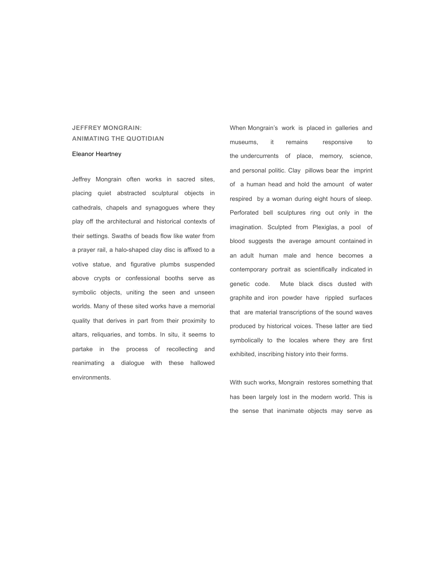## **JEFFREY MONGRAIN: ANIMATING THE QUOTIDIAN**

## Eleanor Heartney

Jeffrey Mongrain often works in sacred sites, placing quiet abstracted sculptural objects in cathedrals, chapels and synagogues where they play off the architectural and historical contexts of their settings. Swaths of beads flow like water from a prayer rail, a halo-shaped clay disc is affixed to a votive statue, and figurative plumbs suspended above crypts or confessional booths serve as symbolic objects, uniting the seen and unseen worlds. Many of these sited works have a memorial quality that derives in part from their proximity to altars, reliquaries, and tombs. In situ, it seems to partake in the process of recollecting and reanimating a dialogue with these hallowed environments.

When Mongrain's work is placed in galleries and museums, it remains responsive to the undercurrents of place, memory, science, and personal politic. Clay pillows bear the imprint of a human head and hold the amount of water respired by a woman during eight hours of sleep. Perforated bell sculptures ring out only in the imagination. Sculpted from Plexiglas, a pool of blood suggests the average amount contained in an adult human male and hence becomes a contemporary portrait as scientifically indicated in genetic code. Mute black discs dusted with graphite and iron powder have rippled surfaces that are material transcriptions of the sound waves produced by historical voices. These latter are tied symbolically to the locales where they are first exhibited, inscribing history into their forms.

With such works, Mongrain restores something that has been largely lost in the modern world. This is the sense that inanimate objects may serve as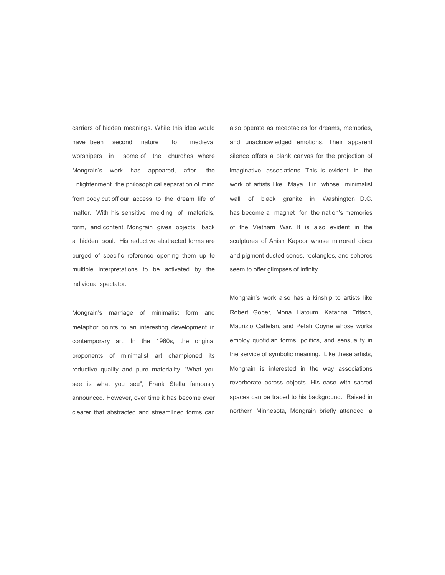carriers of hidden meanings. While this idea would have been second nature to medieval worshipers in some of the churches where Mongrain's work has appeared, after the Enlightenment the philosophical separation of mind from body cut off our access to the dream life of matter. With his sensitive melding of materials, form, and content, Mongrain gives objects back a hidden soul. His reductive abstracted forms are purged of specific reference opening them up to multiple interpretations to be activated by the individual spectator.

Mongrain's marriage of minimalist form and metaphor points to an interesting development in contemporary art. In the 1960s, the original proponents of minimalist art championed its reductive quality and pure materiality. "What you see is what you see", Frank Stella famously announced. However, over time it has become ever clearer that abstracted and streamlined forms can also operate as receptacles for dreams, memories, and unacknowledged emotions. Their apparent silence offers a blank canvas for the projection of imaginative associations. This is evident in the work of artists like Maya Lin, whose minimalist wall of black granite in Washington D.C. has become a magnet for the nation's memories of the Vietnam War. It is also evident in the sculptures of Anish Kapoor whose mirrored discs and pigment dusted cones, rectangles, and spheres seem to offer glimpses of infinity.

Mongrain's work also has a kinship to artists like Robert Gober, Mona Hatoum, Katarina Fritsch, Maurizio Cattelan, and Petah Coyne whose works employ quotidian forms, politics, and sensuality in the service of symbolic meaning. Like these artists, Mongrain is interested in the way associations reverberate across objects. His ease with sacred spaces can be traced to his background. Raised in northern Minnesota, Mongrain briefly attended a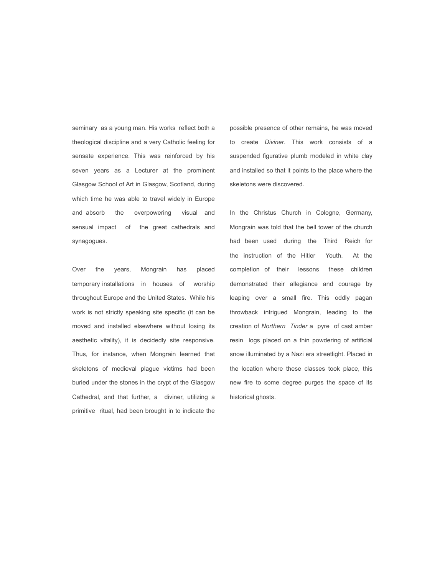seminary as a young man. His works reflect both a theological discipline and a very Catholic feeling for sensate experience. This was reinforced by his seven years as a Lecturer at the prominent Glasgow School of Art in Glasgow, Scotland, during which time he was able to travel widely in Europe and absorb the overpowering visual and sensual impact of the great cathedrals and synagogues.

Over the years, Mongrain has placed temporary installations in houses of worship throughout Europe and the United States. While his work is not strictly speaking site specific (it can be moved and installed elsewhere without losing its aesthetic vitality), it is decidedly site responsive. Thus, for instance, when Mongrain learned that skeletons of medieval plague victims had been buried under the stones in the crypt of the Glasgow Cathedral, and that further, a diviner, utilizing a primitive ritual, had been brought in to indicate the

possible presence of other remains, he was moved to create *Diviner*. This work consists of a suspended figurative plumb modeled in white clay and installed so that it points to the place where the skeletons were discovered.

In the Christus Church in Cologne, Germany, Mongrain was told that the bell tower of the church had been used during the Third Reich for the instruction of the Hitler Youth. At the completion of their lessons these children demonstrated their allegiance and courage by leaping over a small fire. This oddly pagan throwback intrigued Mongrain, leading to the creation of *Northern Tinder* a pyre of cast amber resin logs placed on a thin powdering of artificial snow illuminated by a Nazi era streetlight. Placed in the location where these classes took place, this new fire to some degree purges the space of its historical ghosts.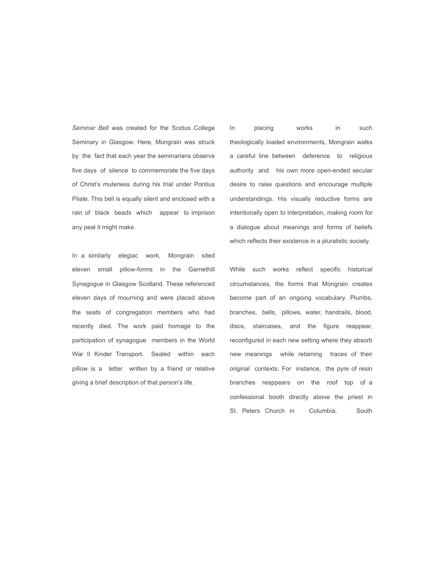*Seminar Bell* was created for the Scotus College Seminary in Glasgow. Here, Mongrain was struck by the fact that each year the seminarians observe five days of silence to commemorate the five days of Christ's muteness during his trial under Pontius Pilate. This bell is equally silent and enclosed with a rain of black beads which appear to imprison any peal it might make.

In a similarly elegiac work, Mongrain sited eleven small pillow-forms in the Garnethill Synagogue in Glasgow Scotland. These referenced eleven days of mourning and were placed above the seats of congregation members who had recently died. The work paid homage to the participation of synagogue members in the World War II Kinder Transport. Sealed within each pillow is a letter written by a friend or relative giving a brief description of that person's life.

In placing works in such theologically loaded environments, Mongrain walks a careful line between deference to religious authority and his own more open-ended secular desire to raise questions and encourage multiple understandings. His visually reductive forms are intentionally open to interpretation, making room for a dialogue about meanings and forms of beliefs which reflects their existence in a pluralistic society.

While such works reflect specific historical circumstances, the forms that Mongrain creates become part of an ongoing vocabulary. Plumbs, branches, bells, pillows, water, handrails, blood, discs, staircases, and the figure reappear, reconfigured in each new setting where they absorb new meanings while retaining traces of their original contexts. For instance, the pyre of resin branches reappears on the roof top of a confessional booth directly above the priest in St. Peters Church in Columbia, South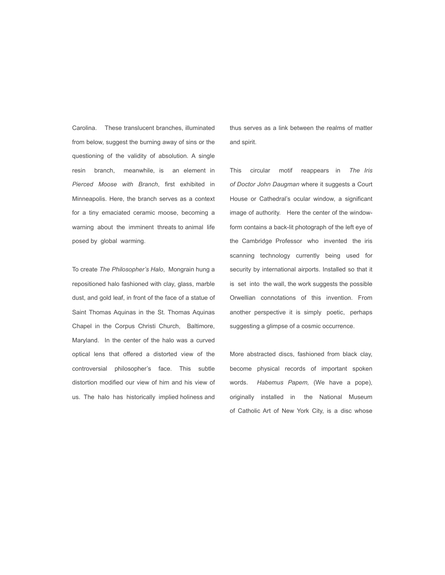Carolina. These translucent branches, illuminated from below, suggest the burning away of sins or the questioning of the validity of absolution. A single resin branch, meanwhile, is an element in *Pierced Moose with Branch*, first exhibited in Minneapolis. Here, the branch serves as a context for a tiny emaciated ceramic moose, becoming a warning about the imminent threats to animal life posed by global warming.

To create *The Philosopher's Halo*, Mongrain hung a repositioned halo fashioned with clay, glass, marble dust, and gold leaf, in front of the face of a statue of Saint Thomas Aquinas in the St. Thomas Aquinas Chapel in the Corpus Christi Church, Baltimore, Maryland. In the center of the halo was a curved optical lens that offered a distorted view of the controversial philosopher's face. This subtle distortion modified our view of him and his view of us. The halo has historically implied holiness and thus serves as a link between the realms of matter and spirit.

This circular motif reappears in *The Iris of Doctor John Daugman* where it suggests a Court House or Cathedral's ocular window, a significant image of authority. Here the center of the windowform contains a back-lit photograph of the left eye of the Cambridge Professor who invented the iris scanning technology currently being used for security by international airports. Installed so that it is set into the wall, the work suggests the possible Orwellian connotations of this invention. From another perspective it is simply poetic, perhaps suggesting a glimpse of a cosmic occurrence.

More abstracted discs, fashioned from black clay, become physical records of important spoken words. *Habemus Papem,* (We have a pope), originally installed in the National Museum of Catholic Art of New York City, is a disc whose